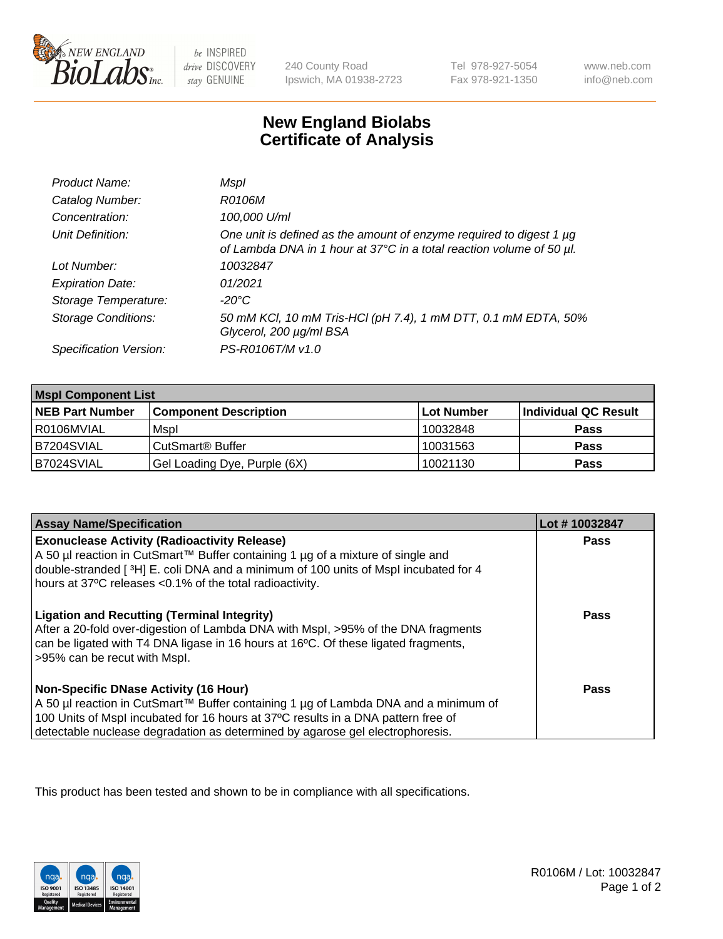

 $be$  INSPIRED drive DISCOVERY stay GENUINE

240 County Road Ipswich, MA 01938-2723 Tel 978-927-5054 Fax 978-921-1350

www.neb.com info@neb.com

## **New England Biolabs Certificate of Analysis**

| Product Name:           | Mspl                                                                                                                                             |
|-------------------------|--------------------------------------------------------------------------------------------------------------------------------------------------|
| Catalog Number:         | R0106M                                                                                                                                           |
| Concentration:          | 100,000 U/ml                                                                                                                                     |
| Unit Definition:        | One unit is defined as the amount of enzyme required to digest 1 $\mu$ g<br>of Lambda DNA in 1 hour at 37°C in a total reaction volume of 50 µl. |
| Lot Number:             | 10032847                                                                                                                                         |
| <b>Expiration Date:</b> | 01/2021                                                                                                                                          |
| Storage Temperature:    | -20°C                                                                                                                                            |
| Storage Conditions:     | 50 mM KCl, 10 mM Tris-HCl (pH 7.4), 1 mM DTT, 0.1 mM EDTA, 50%<br>Glycerol, 200 µg/ml BSA                                                        |
| Specification Version:  | PS-R0106T/M v1.0                                                                                                                                 |

| <b>Mspl Component List</b> |                              |            |                      |  |
|----------------------------|------------------------------|------------|----------------------|--|
| <b>NEB Part Number</b>     | <b>Component Description</b> | Lot Number | Individual QC Result |  |
| R0106MVIAL                 | Mspl                         | 10032848   | <b>Pass</b>          |  |
| B7204SVIAL                 | CutSmart <sup>®</sup> Buffer | 10031563   | <b>Pass</b>          |  |
| B7024SVIAL                 | Gel Loading Dye, Purple (6X) | 10021130   | <b>Pass</b>          |  |

| <b>Assay Name/Specification</b>                                                                                                                                                                                                                                                                           | Lot #10032847 |
|-----------------------------------------------------------------------------------------------------------------------------------------------------------------------------------------------------------------------------------------------------------------------------------------------------------|---------------|
| <b>Exonuclease Activity (Radioactivity Release)</b><br>A 50 µl reaction in CutSmart™ Buffer containing 1 µg of a mixture of single and<br>double-stranded [3H] E. coli DNA and a minimum of 100 units of Mspl incubated for 4<br>hours at 37°C releases <0.1% of the total radioactivity.                 | <b>Pass</b>   |
| <b>Ligation and Recutting (Terminal Integrity)</b><br>After a 20-fold over-digestion of Lambda DNA with Mspl, >95% of the DNA fragments<br>can be ligated with T4 DNA ligase in 16 hours at 16°C. Of these ligated fragments,<br>>95% can be recut with Mspl.                                             | Pass          |
| <b>Non-Specific DNase Activity (16 Hour)</b><br>A 50 µl reaction in CutSmart™ Buffer containing 1 µg of Lambda DNA and a minimum of<br>100 Units of Mspl incubated for 16 hours at 37°C results in a DNA pattern free of<br>detectable nuclease degradation as determined by agarose gel electrophoresis. | Pass          |

This product has been tested and shown to be in compliance with all specifications.